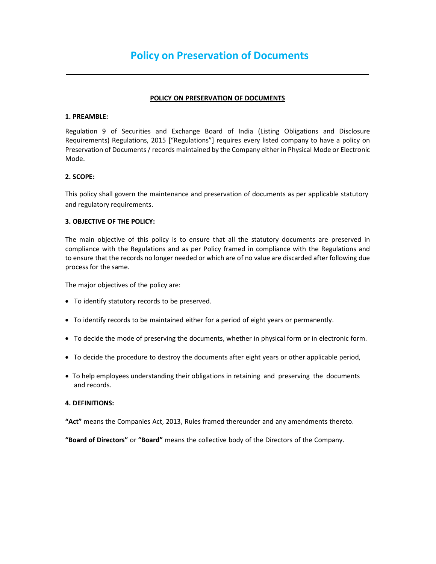## POLICY ON PRESERVATION OF DOCUMENTS

## 1. PREAMBLE:

Regulation 9 of Securities and Exchange Board of India (Listing Obligations and Disclosure Requirements) Regulations, 2015 ["Regulations"] requires every listed company to have a policy on Preservation of Documents / records maintained by the Company either in Physical Mode or Electronic Mode.

## 2. SCOPE:

This policy shall govern the maintenance and preservation of documents as per applicable statutory and regulatory requirements.

# 3. OBJECTIVE OF THE POLICY:

The main objective of this policy is to ensure that all the statutory documents are preserved in compliance with the Regulations and as per Policy framed in compliance with the Regulations and to ensure that the records no longer needed or which are of no value are discarded after following due process for the same.

The major objectives of the policy are:

- To identify statutory records to be preserved.
- To identify records to be maintained either for a period of eight years or permanently.
- To decide the mode of preserving the documents, whether in physical form or in electronic form.
- To decide the procedure to destroy the documents after eight years or other applicable period,
- To help employees understanding their obligations in retaining and preserving the documents and records.

# 4. DEFINITIONS:

"Act" means the Companies Act, 2013, Rules framed thereunder and any amendments thereto.

"Board of Directors" or "Board" means the collective body of the Directors of the Company.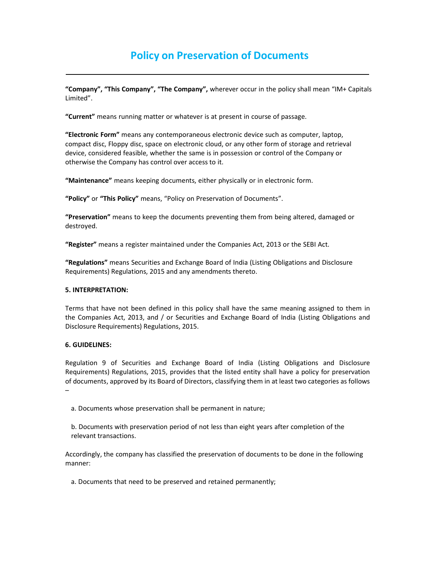# Policy on Preservation of Documents

"Company", "This Company", "The Company", wherever occur in the policy shall mean "IM+ Capitals Limited".

"Current" means running matter or whatever is at present in course of passage.

"Electronic Form" means any contemporaneous electronic device such as computer, laptop, compact disc, Floppy disc, space on electronic cloud, or any other form of storage and retrieval device, considered feasible, whether the same is in possession or control of the Company or otherwise the Company has control over access to it.

"Maintenance" means keeping documents, either physically or in electronic form.

"Policy" or "This Policy" means, "Policy on Preservation of Documents".

"Preservation" means to keep the documents preventing them from being altered, damaged or destroyed.

"Register" means a register maintained under the Companies Act, 2013 or the SEBI Act.

"Regulations" means Securities and Exchange Board of India (Listing Obligations and Disclosure Requirements) Regulations, 2015 and any amendments thereto.

#### 5. INTERPRETATION:

Terms that have not been defined in this policy shall have the same meaning assigned to them in the Companies Act, 2013, and / or Securities and Exchange Board of India (Listing Obligations and Disclosure Requirements) Regulations, 2015.

#### 6. GUIDELINES:

Regulation 9 of Securities and Exchange Board of India (Listing Obligations and Disclosure Requirements) Regulations, 2015, provides that the listed entity shall have a policy for preservation of documents, approved by its Board of Directors, classifying them in at least two categories as follows –

a. Documents whose preservation shall be permanent in nature;

b. Documents with preservation period of not less than eight years after completion of the relevant transactions.

Accordingly, the company has classified the preservation of documents to be done in the following manner:

a. Documents that need to be preserved and retained permanently;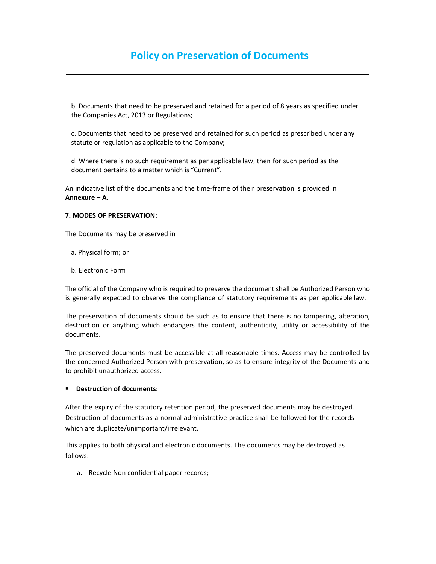b. Documents that need to be preserved and retained for a period of 8 years as specified under the Companies Act, 2013 or Regulations;

c. Documents that need to be preserved and retained for such period as prescribed under any statute or regulation as applicable to the Company;

d. Where there is no such requirement as per applicable law, then for such period as the document pertains to a matter which is "Current".

An indicative list of the documents and the time-frame of their preservation is provided in Annexure – A.

# 7. MODES OF PRESERVATION:

The Documents may be preserved in

- a. Physical form; or
- b. Electronic Form

The official of the Company who is required to preserve the document shall be Authorized Person who is generally expected to observe the compliance of statutory requirements as per applicable law.

The preservation of documents should be such as to ensure that there is no tampering, alteration, destruction or anything which endangers the content, authenticity, utility or accessibility of the documents.

The preserved documents must be accessible at all reasonable times. Access may be controlled by the concerned Authorized Person with preservation, so as to ensure integrity of the Documents and to prohibit unauthorized access.

## **•** Destruction of documents:

After the expiry of the statutory retention period, the preserved documents may be destroyed. Destruction of documents as a normal administrative practice shall be followed for the records which are duplicate/unimportant/irrelevant.

This applies to both physical and electronic documents. The documents may be destroyed as follows:

a. Recycle Non confidential paper records;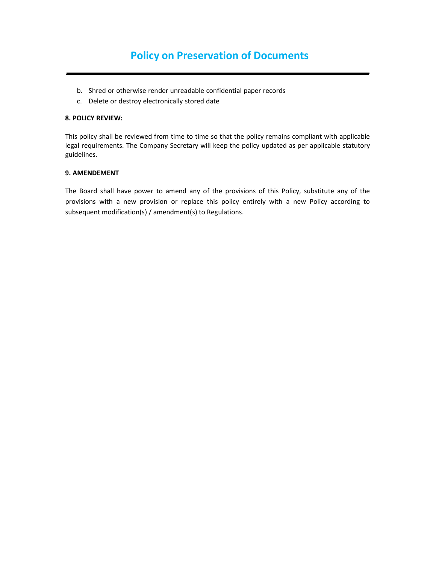- b. Shred or otherwise render unreadable confidential paper records
- c. Delete or destroy electronically stored date

#### 8. POLICY REVIEW:

This policy shall be reviewed from time to time so that the policy remains compliant with applicable legal requirements. The Company Secretary will keep the policy updated as per applicable statutory guidelines.

# 9. AMENDEMENT

The Board shall have power to amend any of the provisions of this Policy, substitute any of the provisions with a new provision or replace this policy entirely with a new Policy according to subsequent modification(s) / amendment(s) to Regulations.